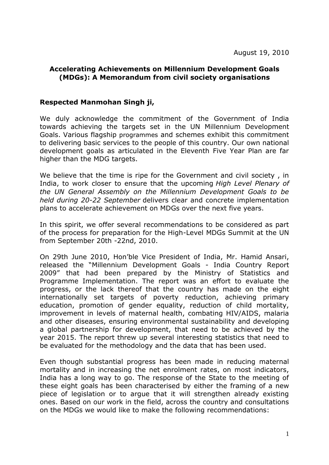## **Accelerating Achievements on Millennium Development Goals (MDGs): A Memorandum from civil society organisations**

## **Respected Manmohan Singh ji,**

We duly acknowledge the commitment of the Government of India towards achieving the targets set in the UN Millennium Development Goals. Various flagship programmes and schemes exhibit this commitment to delivering basic services to the people of this country. Our own national development goals as articulated in the Eleventh Five Year Plan are far higher than the MDG targets.

We believe that the time is ripe for the Government and civil society, in India, to work closer to ensure that the upcoming *High Level Plenary of the UN General Assembly on the Millennium Development Goals to be held during 20-22 September* delivers clear and concrete implementation plans to accelerate achievement on MDGs over the next five years.

In this spirit, we offer several recommendations to be considered as part of the process for preparation for the High-Level MDGs Summit at the UN from September 20th -22nd, 2010.

On 29th June 2010, Hon'ble Vice President of India, Mr. Hamid Ansari, released the "Millennium Development Goals - India Country Report 2009" that had been prepared by the Ministry of Statistics and Programme Implementation. The report was an effort to evaluate the progress, or the lack thereof that the country has made on the eight internationally set targets of poverty reduction, achieving primary education, promotion of gender equality, reduction of child mortality, improvement in levels of maternal health, combating HIV/AIDS, malaria and other diseases, ensuring environmental sustainability and developing a global partnership for development, that need to be achieved by the year 2015. The report threw up several interesting statistics that need to be evaluated for the methodology and the data that has been used.

Even though substantial progress has been made in reducing maternal mortality and in increasing the net enrolment rates, on most indicators, India has a long way to go. The response of the State to the meeting of these eight goals has been characterised by either the framing of a new piece of legislation or to argue that it will strengthen already existing ones. Based on our work in the field, across the country and consultations on the MDGs we would like to make the following recommendations: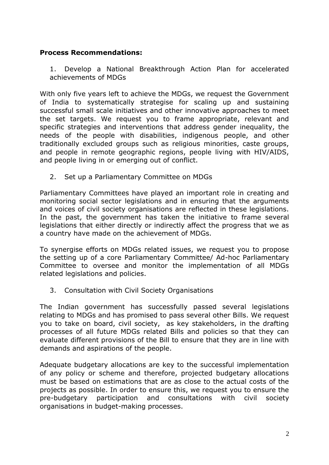## **Process Recommendations:**

1. Develop a National Breakthrough Action Plan for accelerated achievements of MDGs

With only five years left to achieve the MDGs, we request the Government of India to systematically strategise for scaling up and sustaining successful small scale initiatives and other innovative approaches to meet the set targets. We request you to frame appropriate, relevant and specific strategies and interventions that address gender inequality, the needs of the people with disabilities, indigenous people, and other traditionally excluded groups such as religious minorities, caste groups, and people in remote geographic regions, people living with HIV/AIDS, and people living in or emerging out of conflict.

2. Set up a Parliamentary Committee on MDGs

Parliamentary Committees have played an important role in creating and monitoring social sector legislations and in ensuring that the arguments and voices of civil society organisations are reflected in these legislations. In the past, the government has taken the initiative to frame several legislations that either directly or indirectly affect the progress that we as a country have made on the achievement of MDGs.

To synergise efforts on MDGs related issues, we request you to propose the setting up of a core Parliamentary Committee/ Ad-hoc Parliamentary Committee to oversee and monitor the implementation of all MDGs related legislations and policies.

3. Consultation with Civil Society Organisations

The Indian government has successfully passed several legislations relating to MDGs and has promised to pass several other Bills. We request you to take on board, civil society, as key stakeholders, in the drafting processes of all future MDGs related Bills and policies so that they can evaluate different provisions of the Bill to ensure that they are in line with demands and aspirations of the people.

Adequate budgetary allocations are key to the successful implementation of any policy or scheme and therefore, projected budgetary allocations must be based on estimations that are as close to the actual costs of the projects as possible. In order to ensure this, we request you to ensure the pre-budgetary participation and consultations with civil society organisations in budget-making processes.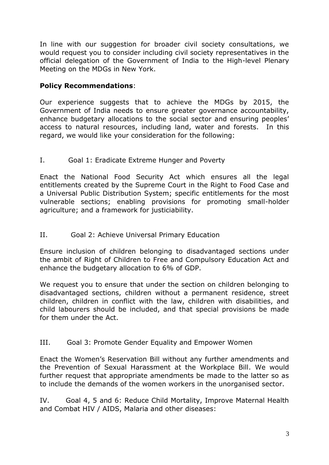In line with our suggestion for broader civil society consultations, we would request you to consider including civil society representatives in the official delegation of the Government of India to the High-level Plenary Meeting on the MDGs in New York.

## **Policy Recommendations**:

Our experience suggests that to achieve the MDGs by 2015, the Government of India needs to ensure greater governance accountability, enhance budgetary allocations to the social sector and ensuring peoples' access to natural resources, including land, water and forests. In this regard, we would like your consideration for the following:

I. Goal 1: Eradicate Extreme Hunger and Poverty

Enact the National Food Security Act which ensures all the legal entitlements created by the Supreme Court in the Right to Food Case and a Universal Public Distribution System; specific entitlements for the most vulnerable sections; enabling provisions for promoting small-holder agriculture; and a framework for justiciability.

II. Goal 2: Achieve Universal Primary Education

Ensure inclusion of children belonging to disadvantaged sections under the ambit of Right of Children to Free and Compulsory Education Act and enhance the budgetary allocation to 6% of GDP.

We request you to ensure that under the section on children belonging to disadvantaged sections, children without a permanent residence, street children, children in conflict with the law, children with disabilities, and child labourers should be included, and that special provisions be made for them under the Act.

III. Goal 3: Promote Gender Equality and Empower Women

Enact the Women's Reservation Bill without any further amendments and the Prevention of Sexual Harassment at the Workplace Bill. We would further request that appropriate amendments be made to the latter so as to include the demands of the women workers in the unorganised sector.

IV. Goal 4, 5 and 6: Reduce Child Mortality, Improve Maternal Health and Combat HIV / AIDS, Malaria and other diseases: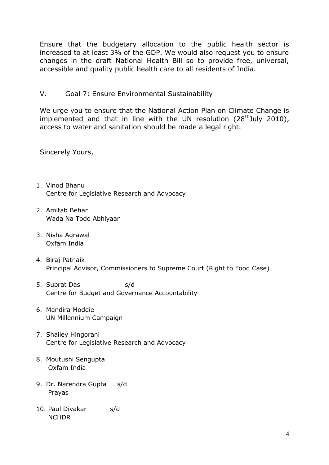Ensure that the budgetary allocation to the public health sector is increased to at least 3% of the GDP. We would also request you to ensure changes in the draft National Health Bill so to provide free, universal, accessible and quality public health care to all residents of India.

V. Goal 7: Ensure Environmental Sustainability

We urge you to ensure that the National Action Plan on Climate Change is implemented and that in line with the UN resolution  $(28<sup>th</sup>)$ uly 2010), access to water and sanitation should be made a legal right.

Sincerely Yours,

- 1. Vinod Bhanu Centre for Legislative Research and Advocacy
- 2. Amitab Behar Wada Na Todo Abhiyaan
- 3. Nisha Agrawal Oxfam India
- 4. Biraj Patnaik Principal Advisor, Commissioners to Supreme Court (Right to Food Case)
- 5. Subrat Das s/d Centre for Budget and Governance Accountability
- 6. Mandira Moddie UN Millennium Campaign
- 7. Shailey Hingorani Centre for Legislative Research and Advocacy
- 8. Moutushi Sengupta Oxfam India
- 9. Dr. Narendra Gupta s/d Prayas
- 10. Paul Divakar s/d NCHDR